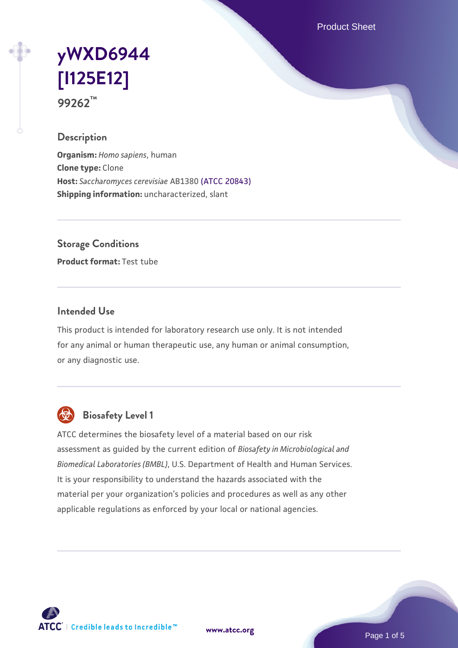Product Sheet

# **[yWXD6944](https://www.atcc.org/products/99262) [\[I125E12\]](https://www.atcc.org/products/99262) 99262™**

## **Description**

**Organism:** *Homo sapiens*, human **Clone type:** Clone **Host:** *Saccharomyces cerevisiae* AB1380 [\(ATCC 20843\)](https://www.atcc.org/products/20843) **Shipping information:** uncharacterized, slant

**Storage Conditions**

**Product format:** Test tube

#### **Intended Use**

This product is intended for laboratory research use only. It is not intended for any animal or human therapeutic use, any human or animal consumption, or any diagnostic use.



## **Biosafety Level 1**

ATCC determines the biosafety level of a material based on our risk assessment as guided by the current edition of *Biosafety in Microbiological and Biomedical Laboratories (BMBL)*, U.S. Department of Health and Human Services. It is your responsibility to understand the hazards associated with the material per your organization's policies and procedures as well as any other applicable regulations as enforced by your local or national agencies.

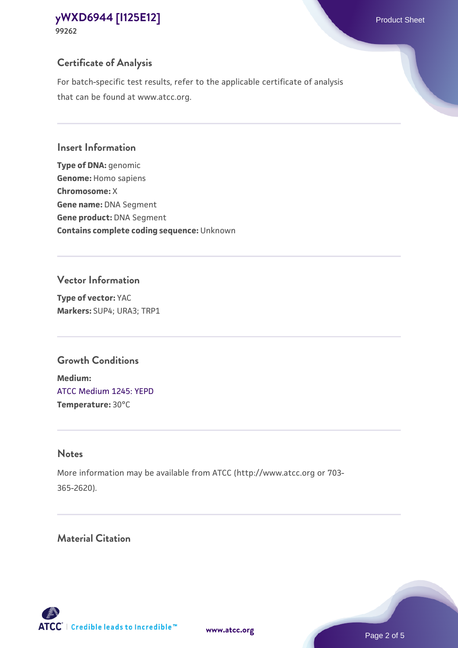## **Certificate of Analysis**

For batch-specific test results, refer to the applicable certificate of analysis that can be found at www.atcc.org.

#### **Insert Information**

**Type of DNA:** genomic **Genome:** Homo sapiens **Chromosome:** X **Gene name:** DNA Segment **Gene product:** DNA Segment **Contains complete coding sequence:** Unknown

#### **Vector Information**

**Type of vector:** YAC **Markers:** SUP4; URA3; TRP1

## **Growth Conditions**

**Medium:**  [ATCC Medium 1245: YEPD](https://www.atcc.org/-/media/product-assets/documents/microbial-media-formulations/1/2/4/5/atcc-medium-1245.pdf?rev=705ca55d1b6f490a808a965d5c072196) **Temperature:** 30°C

## **Notes**

More information may be available from ATCC (http://www.atcc.org or 703- 365-2620).

## **Material Citation**

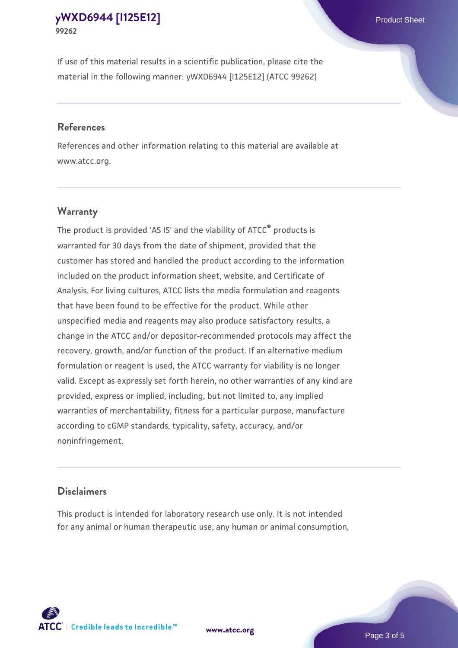If use of this material results in a scientific publication, please cite the material in the following manner: yWXD6944 [I125E12] (ATCC 99262)

#### **References**

References and other information relating to this material are available at www.atcc.org.

## **Warranty**

The product is provided 'AS IS' and the viability of  $ATCC<sup>®</sup>$  products is warranted for 30 days from the date of shipment, provided that the customer has stored and handled the product according to the information included on the product information sheet, website, and Certificate of Analysis. For living cultures, ATCC lists the media formulation and reagents that have been found to be effective for the product. While other unspecified media and reagents may also produce satisfactory results, a change in the ATCC and/or depositor-recommended protocols may affect the recovery, growth, and/or function of the product. If an alternative medium formulation or reagent is used, the ATCC warranty for viability is no longer valid. Except as expressly set forth herein, no other warranties of any kind are provided, express or implied, including, but not limited to, any implied warranties of merchantability, fitness for a particular purpose, manufacture according to cGMP standards, typicality, safety, accuracy, and/or noninfringement.

#### **Disclaimers**

This product is intended for laboratory research use only. It is not intended for any animal or human therapeutic use, any human or animal consumption,





Page 3 of 5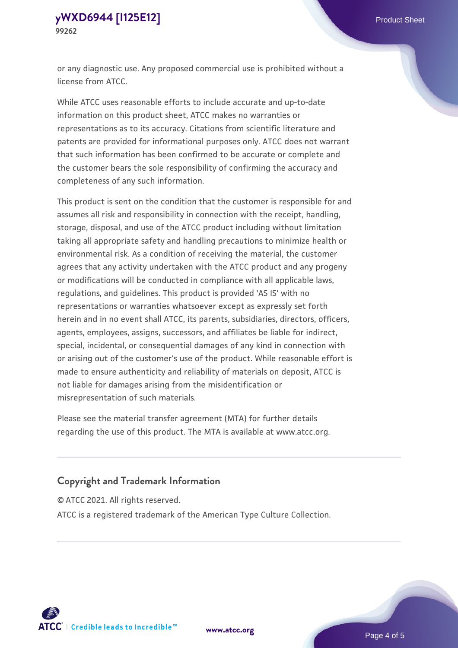or any diagnostic use. Any proposed commercial use is prohibited without a license from ATCC.

While ATCC uses reasonable efforts to include accurate and up-to-date information on this product sheet, ATCC makes no warranties or representations as to its accuracy. Citations from scientific literature and patents are provided for informational purposes only. ATCC does not warrant that such information has been confirmed to be accurate or complete and the customer bears the sole responsibility of confirming the accuracy and completeness of any such information.

This product is sent on the condition that the customer is responsible for and assumes all risk and responsibility in connection with the receipt, handling, storage, disposal, and use of the ATCC product including without limitation taking all appropriate safety and handling precautions to minimize health or environmental risk. As a condition of receiving the material, the customer agrees that any activity undertaken with the ATCC product and any progeny or modifications will be conducted in compliance with all applicable laws, regulations, and guidelines. This product is provided 'AS IS' with no representations or warranties whatsoever except as expressly set forth herein and in no event shall ATCC, its parents, subsidiaries, directors, officers, agents, employees, assigns, successors, and affiliates be liable for indirect, special, incidental, or consequential damages of any kind in connection with or arising out of the customer's use of the product. While reasonable effort is made to ensure authenticity and reliability of materials on deposit, ATCC is not liable for damages arising from the misidentification or misrepresentation of such materials.

Please see the material transfer agreement (MTA) for further details regarding the use of this product. The MTA is available at www.atcc.org.

## **Copyright and Trademark Information**

© ATCC 2021. All rights reserved.

ATCC is a registered trademark of the American Type Culture Collection.



**[www.atcc.org](http://www.atcc.org)**

Page 4 of 5